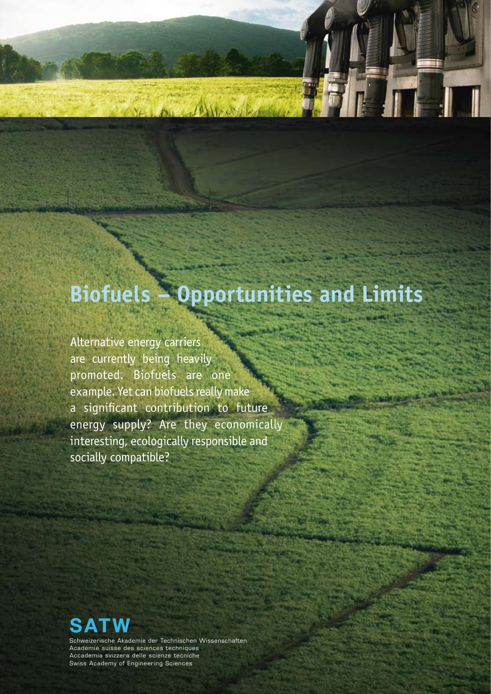# **Biofuels – Opportunities and Limits**

Alternative energy carriers are currently being heavily promoted. Biofuels are one example. Yet can biofuels really make a significant contribution to future energy supply? Are they economically interesting, ecologically responsible and socially compatible?



Schweizerische Akademie der Technischen Wissenschaften Académie suisse des sciences techniques Accademia svizzera delle scienze tecniche Swiss Academy of Engineering Sciences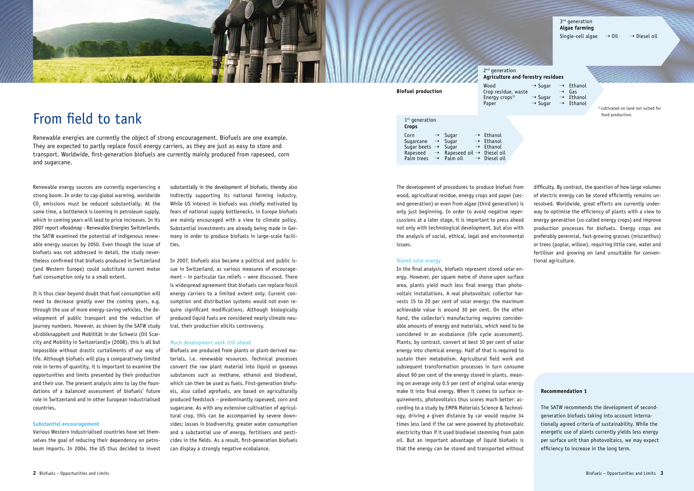

# 2<sup>nd</sup> generation

The development of procedures to produce biofuel from wood, agricultural residue, energy crops and paper (second generation) or even from algae (third generation) is only just beginning. In order to avoid negative repercussions at a later stage, it is important to press ahead not only with technological development, but also with the analysis of social, ethical, legal and environmental issues.

### Stored solar energy

In the final analysis, biofuels represent stored solar energy. However, per square metre of shone-upon surface area, plants yield much less final energy than photovoltaic installations. A real photovoltaic collector harvests 15 to 20 per cent of solar energy; the maximum achievable value is around 30 per cent. On the other hand, the collector's manufacturing requires considerable amounts of energy and materials, which need to be considered in an ecobalance (life cycle assessment). Plants, by contrast, convert at best 10 per cent of solar energy into chemical energy. Half of that is required to sustain their metabolism. Agricultural field work and subsequent transformation processes in turn consume about 90 per cent of the energy stored in plants, meaning on average only 0.5 per cent of original solar energy make it into final energy. When it comes to surface requirements, photovoltaics thus scores much better: according to a study by EMPA Materials Science & Technology, driving a given distance by car would require 34 times less land if the car were powered by photovoltaic electricity than if it used biodiesel stemming from palm oil. But an important advantage of liquid biofuels is that the energy can be stored and transported without

difficulty. By contrast, the question of how large volumes of electric energy can be stored efficiently remains unresolved. Worldwide, great efforts are currently underway to optimise the efficiency of plants with a view to energy generation (so-called energy crops) and improve production processes for biofuels. Energy crops are preferably perennial, fast-growing grasses (miscanthus) or trees (poplar, willow), requiring little care, water and fertiliser and growing on land unsuitable for conventional agriculture.

# From field to tank

Renewable energies are currently the object of strong encouragement. Biofuels are one example. They are expected to partly replace fossil energy carriers, as they are just as easy to store and transport. Worldwide, first-generation biofuels are currently mainly produced from rapeseed, corn and sugarcane.

Renewable energy sources are currently experiencing a strong boom. In order to cap global warming, worldwide CO $_{_2}$  emissions must be reduced substantially. At the same time, a bottleneck is looming in petroleum supply, which in coming years will lead to price increases. In its 2007 report «Roadmap - Renewable Energies Switzerland», the SATW examined the potential of indigenous renewable energy sources by 2050. Even though the issue of biofuels was not addressed in detail, the study nevertheless confirmed that biofuels produced in Switzerland (and Western Europe) could substitute current motor fuel consumption only to a small extent.

It is thus clear beyond doubt that fuel consumption will need to decrease greatly over the coming years, e.g. through the use of more energy-saving vehicles, the development of public transport and the reduction of journey numbers. However, as shown by the SATW study «Erdölknappheit und Mobilität in der Schweiz (Oil Scarcity and Mobility in Switzerland)» (2008), this is all but impossible without drastic curtailments of our way of life. Although biofuels will play a comparatively limited role in terms of quantity, it is important to examine the opportunities and limits presented by their production and their use. The present analysis aims to lay the foundations of a balanced assessment of biofuels' future role in Switzerland and in other European industrialised countries.

### **Substantial encouragement**

Various Western industrialised countries have set themselves the goal of reducing their dependency on petroleum imports. In 2004, the US thus decided to invest substantially in the development of biofuels, thereby also indirectly supporting its national farming industry. While US interest in biofuels was chiefly motivated by fears of national supply bottlenecks, in Europe biofuels are mainly encouraged with a view to climate policy. Substantial investments are already being made in Germany in order to produce biofuels in large-scale facilities.

In 2007, biofuels also became a political and public issue in Switzerland, as various measures of encouragement – in particular tax reliefs – were discussed. There is widespread agreement that biofuels can replace fossil energy carriers to a limited extent only. Current consumption and distribution systems would not even require significant modifications. Although biologically produced liquid fuels are considered nearly climate neutral, their production elicits controversy.

### Much development work still ahead

Biofuels are produced from plants or plant-derived materials, i.e. renewable resources. Technical processes convert the raw plant material into liquid or gaseous substances such as methane, ethanol and biodiesel, which can then be used as fuels. First-generation biofuels, also called agrofuels, are based on agriculturally produced feedstock – predominantly rapeseed, corn and sugarcane. As with any extensive cultivation of agricultural crop, this can be accompanied by severe downsides: losses in biodiversity, greater water consumption and a substantial use of energy, fertilisers and pesticides in the fields. As a result, first-generation biofuels can display a strongly negative ecobalance.

### **Recommendation 1**

The SATW recommends the development of secondgeneration biofuels taking into account internationally agreed criteria of sustainability. While the energetic use of plants currently yields less energy per surface unit than photovoltaics, we may expect efficiency to increase in the long term.



**Biofuel production**

Crop residue, waste

### 1<sup>st</sup> generation **Crops** Corn  $\rightarrow$  Sugar  $\rightarrow$  Ethanol<br>Sugarcane  $\rightarrow$  Sugar  $\rightarrow$  Ethanol Sugarcane  $\rightarrow$  Sugar Sugar beets  $\rightarrow$  Sugar  $\rightarrow$  Ethanol Rapeseed  $\rightarrow$  Rapeseed oil  $\rightarrow$  Diesel oil<br>Palm trees  $\rightarrow$  Palm oil  $\rightarrow$  Diesel oil Palm trees  $\rightarrow$  Palm oil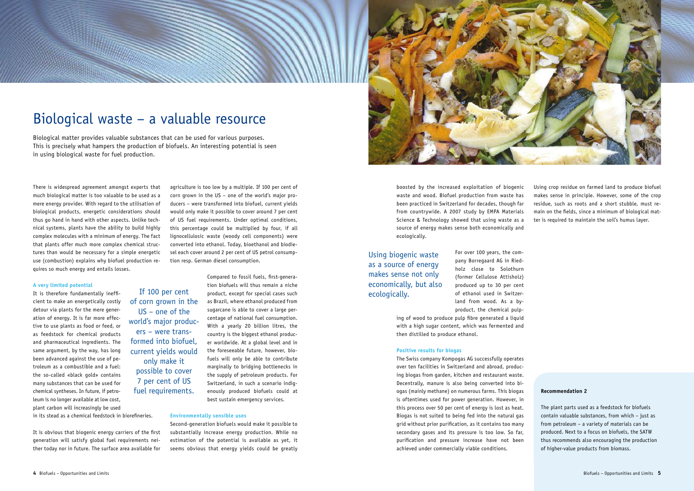

boosted by the increased exploitation of biogenic waste and wood. Biofuel production from waste has been practiced in Switzerland for decades, though far from countrywide. A 2007 study by EMPA Materials Science & Technology showed that using waste as a source of energy makes sense both economically and ecologically.

> For over 100 years, the company Borregaard AG in Riedholz close to Solothurn (former Cellulose Attisholz) produced up to 30 per cent of ethanol used in Switzerland from wood. As a byproduct, the chemical pulp-

ing of wood to produce pulp fibre generated a liquid with a high sugar content, which was fermented and then distilled to produce ethanol.

#### **Positive results for biogas**

The Swiss company Kompogas AG successfully operates over ten facilities in Switzerland and abroad, producing biogas from garden, kitchen and restaurant waste. Decentrally, manure is also being converted into biogas (mainly methane) on numerous farms. This biogas is oftentimes used for power generation. However, in this process over 50 per cent of energy is lost as heat. Biogas is not suited to being fed into the natural gas grid without prior purification, as it contains too many secondary gases and its pressure is too low. So far, purification and pressure increase have not been achieved under commercially viable conditions.

Using crop residue on farmed land to produce biofuel makes sense in principle. However, some of the crop residue, such as roots and a short stubble, must remain on the fields, since a minimum of biological matter is required to maintain the soil's humus layer.

# Biological waste – a valuable resource

Biological matter provides valuable substances that can be used for various purposes. This is precisely what hampers the production of biofuels. An interesting potential is seen in using biological waste for fuel production.

There is widespread agreement amongst experts that much biological matter is too valuable to be used as a mere energy provider. With regard to the utilisation of biological products, energetic considerations should thus go hand in hand with other aspects. Unlike technical systems, plants have the ability to build highly complex molecules with a minimum of energy. The fact that plants offer much more complex chemical structures than would be necessary for a simple energetic use (combustion) explains why biofuel production requires so much energy and entails losses.

#### **A very limited potential**

It is therefore fundamentally inefficient to make an energetically costly detour via plants for the mere generation of energy. It is far more effective to use plants as food or feed, or as feedstock for chemical products and pharmaceutical ingredients. The same argument, by the way, has long been advanced against the use of petroleum as a combustible and a fuel: the so-called «black gold» contains many substances that can be used for chemical syntheses. In future, if petroleum is no longer available at low cost, plant carbon will increasingly be used in its stead as a chemical feedstock in biorefineries.

It is obvious that biogenic energy carriers of the first generation will satisfy global fuel requirements neither today nor in future. The surface area available for agriculture is too low by a multiple. If 100 per cent of corn grown in the US – one of the world's major producers – were transformed into biofuel, current yields would only make it possible to cover around 7 per cent of US fuel requirements. Under optimal conditions, this percentage could be multiplied by four, if all lignocellulosic waste (woody cell components) were converted into ethanol. Today, bioethanol and biodiesel each cover around 2 per cent of US petrol consumption resp. German diesel consumption.

#### **Environmentally sensible uses**

Compared to fossil fuels, first-generation biofuels will thus remain a niche product, except for special cases such as Brazil, where ethanol produced from sugarcane is able to cover a large percentage of national fuel consumption. With a yearly 20 billion litres, the country is the biggest ethanol producer worldwide. At a global level and in the foreseeable future, however, biofuels will only be able to contribute marginally to bridging bottlenecks in the supply of petroleum products. For Switzerland, in such a scenario indigenously produced biofuels could at best sustain emergency services. If 100 per cent of corn grown in the US – one of the world's major producers – were transformed into biofuel, current yields would only make it possible to cover 7 per cent of US fuel requirements.

> Second-generation biofuels would make it possible to substantially increase energy production. While no estimation of the potential is available as yet, it seems obvious that energy yields could be greatly

### **Recommendation 2**

The plant parts used as a feedstock for biofuels contain valuable substances, from which – just as from petroleum – a variety of materials can be produced. Next to a focus on biofuels, the SATW thus recommends also encouraging the production of higher-value products from biomass.

Using biogenic waste as a source of energy makes sense not only economically, but also ecologically.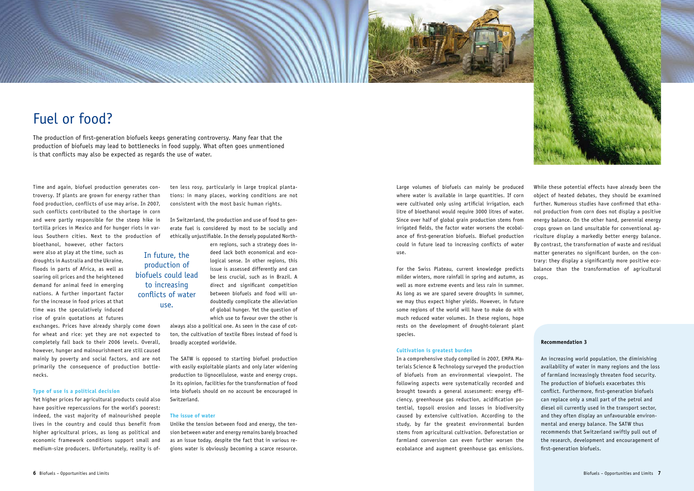



Large volumes of biofuels can mainly be produced where water is available in large quantities. If corn were cultivated only using artificial irrigation, each litre of bioethanol would require 3000 litres of water. Since over half of global grain production stems from irrigated fields, the factor water worsens the ecobalance of first-generation biofuels. Biofuel production could in future lead to increasing conflicts of water use.

For the Swiss Plateau, current knowledge predicts milder winters, more rainfall in spring and autumn, as well as more extreme events and less rain in summer. As long as we are spared severe droughts in summer, we may thus expect higher yields. However, in future some regions of the world will have to make do with much reduced water volumes. In these regions, hope rests on the development of drought-tolerant plant species.

#### **Cultivation is greatest burden**

In a comprehensive study compiled in 2007, EMPA Materials Science & Technology surveyed the production of biofuels from an environmental viewpoint. The following aspects were systematically recorded and brought towards a general assessment: energy efficiency, greenhouse gas reduction, acidification potential, topsoil erosion and losses in biodiversity caused by extensive cultivation. According to the study, by far the greatest environmental burden stems from agricultural cultivation. Deforestation or farmland conversion can even further worsen the ecobalance and augment greenhouse gas emissions.

# Fuel or food?

The production of first-generation biofuels keeps generating controversy. Many fear that the production of biofuels may lead to bottlenecks in food supply. What often goes unmentioned is that conflicts may also be expected as regards the use of water.

Time and again, biofuel production generates controversy. If plants are grown for energy rather than food production, conflicts of use may arise. In 2007, such conflicts contributed to the shortage in corn and were partly responsible for the steep hike in tortilla prices in Mexico and for hunger riots in various Southern cities. Next to the production of

bioethanol, however, other factors were also at play at the time, such as droughts in Australia and the Ukraine, floods in parts of Africa, as well as soaring oil prices and the heightened demand for animal feed in emerging nations. A further important factor for the increase in food prices at that time was the speculatively induced rise of grain quotations at futures

exchanges. Prices have already sharply come down for wheat and rice: yet they are not expected to completely fall back to their 2006 levels. Overall, however, hunger and malnourishment are still caused mainly by poverty and social factors, and are not primarily the consequence of production bottlenecks.

### **Type of use is a political decision**

Yet higher prices for agricultural products could also have positive repercussions for the world's poorest: indeed, the vast majority of malnourished people lives in the country and could thus benefit from higher agricultural prices, as long as political and economic framework conditions support small and medium-size producers. Unfortunately, reality is often less rosy, particularly in large tropical plantations: in many places, working conditions are not consistent with the most basic human rights.

In Switzerland, the production and use of food to generate fuel is considered by most to be socially and ethically unjustifiable. In the densely populated North-

> ern regions, such a strategy does indeed lack both economical and ecological sense. In other regions, this issue is assessed differently and can be less crucial, such as in Brazil. A direct and significant competition between biofuels and food will undoubtedly complicate the alleviation of global hunger. Yet the question of which use to favour over the other is

always also a political one. As seen in the case of cotton, the cultivation of textile fibres instead of food is broadly accepted worldwide.

The SATW is opposed to starting biofuel production with easily exploitable plants and only later widening production to lignocellulose, waste and energy crops. In its opinion, facilities for the transformation of food into biofuels should on no account be encouraged in Switzerland.

#### **The issue of water**

Unlike the tension between food and energy, the tension between water and energy remains barely broached as an issue today, despite the fact that in various regions water is obviously becoming a scarce resource.

While these potential effects have already been the object of heated debates, they should be examined further. Numerous studies have confirmed that ethanol production from corn does not display a positive energy balance. On the other hand, perennial energy crops grown on land unsuitable for conventional agriculture display a markedly better energy balance. By contrast, the transformation of waste and residual matter generates no significant burden, on the contrary: they display a significantly more positive ecobalance than the transformation of agricultural crops.

#### **Recommendation 3**

An increasing world population, the diminishing availability of water in many regions and the loss of farmland increasingly threaten food security. The production of biofuels exacerbates this conflict. Furthermore, first-generation biofuels can replace only a small part of the petrol and diesel oil currently used in the transport sector, and they often display an unfavourable environmental and energy balance. The SATW thus recommends that Switzerland swiftly pull out of the research, development and encouragement of first-generation biofuels.

In future, the production of biofuels could lead to increasing conflicts of water use.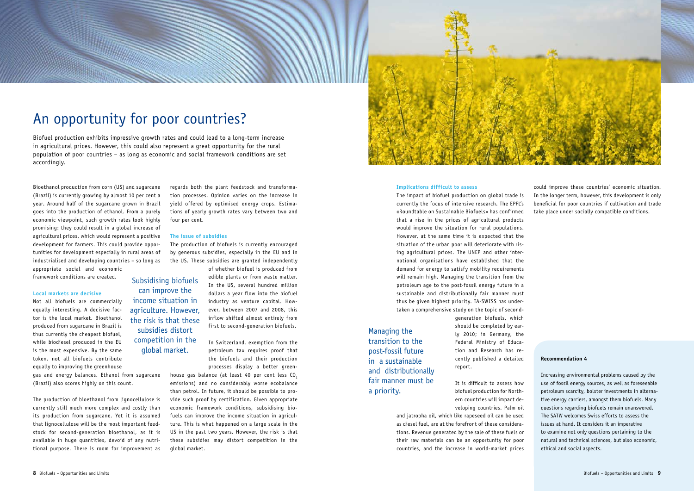

## **Implications difficult to assess**

The impact of biofuel production on global trade is currently the focus of intensive research. The EPFL's «Roundtable on Sustainable Biofuels» has confirmed that a rise in the prices of agricultural products would improve the situation for rural populations. However, at the same time it is expected that the situation of the urban poor will deteriorate with rising agricultural prices. The UNEP and other international organisations have established that the demand for energy to satisfy mobility requirements will remain high. Managing the transition from the petroleum age to the post-fossil energy future in a sustainable and distributionally fair manner must thus be given highest priority. TA-SWISS has undertaken a comprehensive study on the topic of second-

> generation biofuels, which should be completed by early 2010; in Germany, the Federal Ministry of Education and Research has recently published a detailed report.

> It is difficult to assess how biofuel production for Northern countries will impact developing countries. Palm oil

and jatropha oil, which like rapeseed oil can be used as diesel fuel, are at the forefront of these considerations. Revenue generated by the sale of these fuels or their raw materials can be an opportunity for poor countries, and the increase in world-market prices

# An opportunity for poor countries?

Biofuel production exhibits impressive growth rates and could lead to a long-term increase in agricultural prices. However, this could also represent a great opportunity for the rural population of poor countries – as long as economic and social framework conditions are set accordingly.

Bioethanol production from corn (US) and sugarcane (Brazil) is currently growing by almost 10 per cent a year. Around half of the sugarcane grown in Brazil goes into the production of ethanol. From a purely economic viewpoint, such growth rates look highly promising: they could result in a global increase of agricultural prices, which would represent a positive development for farmers. This could provide opportunities for development especially in rural areas of industrialised and developing countries – so long as appropriate social and economic

> house gas balance (at least 40 per cent less  $CO<sub>2</sub>$ emissions) and no considerably worse ecobalance than petrol. In future, it should be possible to provide such proof by certification. Given appropriate economic framework conditions, subsidising biofuels can improve the income situation in agriculture. This is what happened on a large scale in the US in the past two years. However, the risk is that these subsidies may distort competition in the global market.

framework conditions are created.

#### **Local markets are decisive**

Not all biofuels are commercially equally interesting. A decisive factor is the local market. Bioethanol produced from sugarcane in Brazil is thus currently the cheapest biofuel, while biodiesel produced in the EU is the most expensive. By the same token, not all biofuels contribute equally to improving the greenhouse

gas and energy balances. Ethanol from sugarcane (Brazil) also scores highly on this count.

The production of bioethanol from lignocellulose is currently still much more complex and costly than its production from sugarcane. Yet it is assumed that lignocellulose will be the most important feedstock for second-generation bioethanol, as it is available in huge quantities, devoid of any nutritional purpose. There is room for improvement as regards both the plant feedstock and transformation processes. Opinion varies on the increase in yield offered by optimised energy crops. Estimations of yearly growth rates vary between two and four per cent.

### **The issue of subsidies**

The production of biofuels is currently encouraged by generous subsidies, especially in the EU and in the US. These subsidies are granted independently

> of whether biofuel is produced from edible plants or from waste matter. In the US, several hundred million dollars a year flow into the biofuel industry as venture capital. However, between 2007 and 2008, this inflow shifted almost entirely from first to second-generation biofuels.

> In Switzerland, exemption from the petroleum tax requires proof that the biofuels and their production processes display a better green-

could improve these countries' economic situation. In the longer term, however, this development is only beneficial for poor countries if cultivation and trade take place under socially compatible conditions.

#### **Recommendation 4**

Increasing environmental problems caused by the use of fossil energy sources, as well as foreseeable petroleum scarcity, bolster investments in alternative energy carriers, amongst them biofuels. Many questions regarding biofuels remain unanswered. The SATW welcomes Swiss efforts to assess the issues at hand. It considers it an imperative to examine not only questions pertaining to the natural and technical sciences, but also economic, ethical and social aspects.

Subsidising biofuels can improve the income situation in agriculture. However, the risk is that these subsidies distort competition in the global market.

Managing the transition to the post-fossil future in a sustainable and distributionally fair manner must be a priority.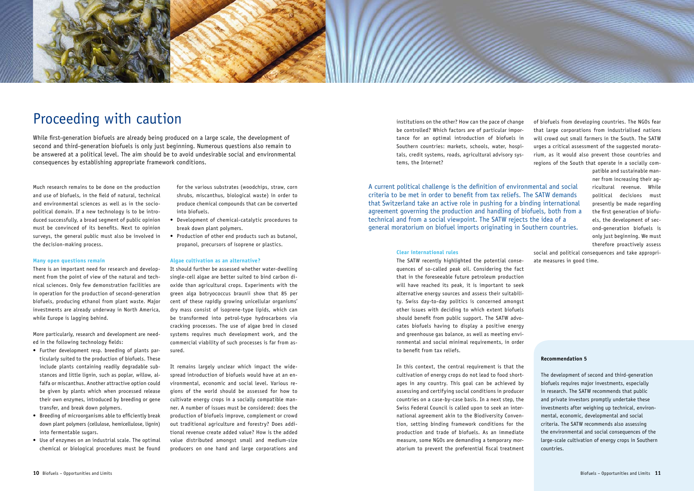

institutions on the other? How can the pace of change be controlled? Which factors are of particular importance for an optimal introduction of biofuels in Southern countries: markets, schools, water, hospitals, credit systems, roads, agricultural advisory systems, the Internet?

#### **Clear international rules**

The SATW recently highlighted the potential consequences of so-called peak oil. Considering the fact that in the foreseeable future petroleum production will have reached its peak, it is important to seek alternative energy sources and assess their suitability. Swiss day-to-day politics is concerned amongst other issues with deciding to which extent biofuels should benefit from public support. The SATW advocates biofuels having to display a positive energy and greenhouse gas balance, as well as meeting environmental and social minimal requirements, in order to benefit from tax reliefs.

In this context, the central requirement is that the cultivation of energy crops do not lead to food shortages in any country. This goal can be achieved by assessing and certifying social conditions in producer countries on a case-by-case basis. In a next step, the Swiss Federal Council is called upon to seek an international agreement akin to the Biodiversity Convention, setting binding framework conditions for the production and trade of biofuels. As an immediate measure, some NGOs are demanding a temporary moratorium to prevent the preferential fiscal treatment

# Proceeding with caution

While first-generation biofuels are already being produced on a large scale, the development of second and third-generation biofuels is only just beginning. Numerous questions also remain to be answered at a political level. The aim should be to avoid undesirable social and environmental consequences by establishing appropriate framework conditions.

Much research remains to be done on the production and use of biofuels, in the field of natural, technical and environmental sciences as well as in the sociopolitical domain. If a new technology is to be introduced successfully, a broad segment of public opinion must be convinced of its benefits. Next to opinion surveys, the general public must also be involved in the decision-making process.

#### **Many open questions remain**

There is an important need for research and development from the point of view of the natural and technical sciences. Only few demonstration facilities are in operation for the production of second-generation biofuels, producing ethanol from plant waste. Major investments are already underway in North America, while Europe is lagging behind.

More particularly, research and development are needed in the following technology fields:

- • Further development resp. breeding of plants particularly suited to the production of biofuels. These include plants containing readily degradable substances and little lignin, such as poplar, willow, alfalfa or miscanthus. Another attractive option could be given by plants which when processed release their own enzymes, introduced by breeding or gene transfer, and break down polymers.
- • Breeding of microorganisms able to efficiently break down plant polymers (cellulose, hemicellulose, lignin) into fermentable sugars.
- • Use of enzymes on an industrial scale. The optimal chemical or biological procedures must be found

for the various substrates (woodchips, straw, corn shrubs, miscanthus, biological waste) in order to produce chemical compounds that can be converted into biofuels.

- • Development of chemical-catalytic procedures to break down plant polymers.
- Production of other end products such as butanol, propanol, precursors of isoprene or plastics.

#### **Algae cultivation as an alternative?**

It should further be assessed whether water-dwelling single-cell algae are better suited to bind carbon dioxide than agricultural crops. Experiments with the green alga botryococcus braunii show that 85 per cent of these rapidly growing unicellular organisms' dry mass consist of isoprene-type lipids, which can be transformed into petrol-type hydrocarbons via cracking processes. The use of algae bred in closed systems requires much development work, and the commercial viability of such processes is far from assured.

It remains largely unclear which impact the widespread introduction of biofuels would have at an environmental, economic and social level. Various regions of the world should be assessed for how to cultivate energy crops in a socially compatible manner. A number of issues must be considered: does the production of biofuels improve, complement or crowd out traditional agriculture and forestry? Does additional revenue create added value? How is the added value distributed amongst small and medium-size producers on one hand and large corporations and of biofuels from developing countries. The NGOs fear that large corporations from industrialised nations will crowd out small farmers in the South. The SATW urges a critical assessment of the suggested moratorium, as it would also prevent those countries and regions of the South that operate in a socially com-

> patible and sustainable manner from increasing their agricultural revenue. While political decisions must presently be made regarding the first generation of biofuels, the development of second-generation biofuels is only just beginning. We must therefore proactively assess

social and political consequences and take appropriate measures in good time.

### **Recommendation 5**

The development of second and third-generation biofuels requires major investments, especially in research. The SATW recommends that public and private investors promptly undertake these investments after weighing up technical, environmental, economic, developmental and social criteria. The SATW recommends also assessing the environmental and social consequences of the large-scale cultivation of energy crops in Southern countries.

A current political challenge is the definition of environmental and social criteria to be met in order to benefit from tax reliefs. The SATW demands that Switzerland take an active role in pushing for a binding international agreement governing the production and handling of biofuels, both from a technical and from a social viewpoint. The SATW rejects the idea of a general moratorium on biofuel imports originating in Southern countries.